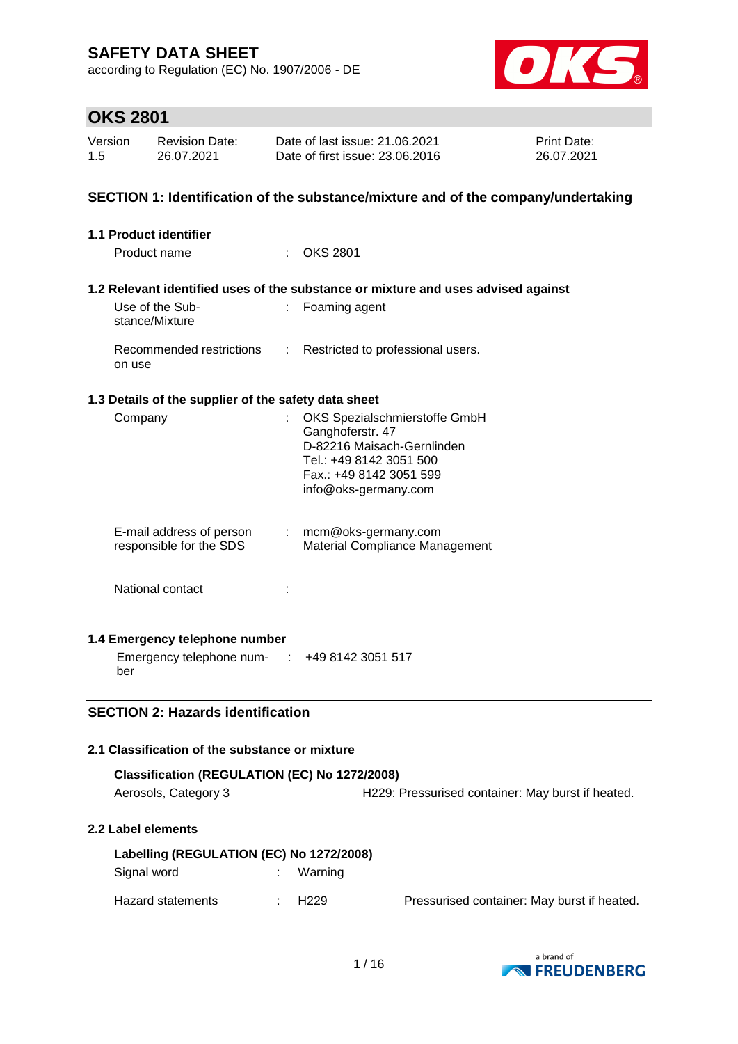according to Regulation (EC) No. 1907/2006 - DE



# **OKS 2801**

| Version | <b>Revision Date:</b> | Date of last issue: 21.06.2021  | <b>Print Date:</b> |
|---------|-----------------------|---------------------------------|--------------------|
| 1.5     | 26.07.2021            | Date of first issue: 23,06,2016 | 26.07.2021         |

### **SECTION 1: Identification of the substance/mixture and of the company/undertaking**

| <b>1.1 Product identifier</b>                                                                                                            |    |                                                                                                                                                               |
|------------------------------------------------------------------------------------------------------------------------------------------|----|---------------------------------------------------------------------------------------------------------------------------------------------------------------|
| Product name                                                                                                                             |    | <b>OKS 2801</b>                                                                                                                                               |
|                                                                                                                                          |    | 1.2 Relevant identified uses of the substance or mixture and uses advised against                                                                             |
| Use of the Sub-<br>stance/Mixture                                                                                                        |    | : Foaming agent                                                                                                                                               |
| on use                                                                                                                                   |    | Recommended restrictions : Restricted to professional users.                                                                                                  |
| 1.3 Details of the supplier of the safety data sheet                                                                                     |    |                                                                                                                                                               |
| Company                                                                                                                                  | ÷. | OKS Spezialschmierstoffe GmbH<br>Ganghoferstr. 47<br>D-82216 Maisach-Gernlinden<br>Tel.: +49 8142 3051 500<br>Fax.: +49 8142 3051 599<br>info@oks-germany.com |
| E-mail address of person<br>responsible for the SDS                                                                                      | t. | mcm@oks-germany.com<br>Material Compliance Management                                                                                                         |
| National contact                                                                                                                         |    |                                                                                                                                                               |
| 1.4 Emergency telephone number                                                                                                           |    |                                                                                                                                                               |
| Emergency telephone num- : +49 8142 3051 517<br>ber                                                                                      |    |                                                                                                                                                               |
| <b>SECTION 2: Hazards identification</b><br>$\overline{A}$ . Also a state of the set of the second set of a set of set of $\overline{A}$ |    |                                                                                                                                                               |

#### **2.1 Classification of the substance or mixture Classification (REGULATION (EC) No 1272/2008)**

| Classification (REGULATION (EC) No 1272/2008) |                                                   |
|-----------------------------------------------|---------------------------------------------------|
| Aerosols, Category 3                          | H229: Pressurised container: May burst if heated. |

#### **2.2 Label elements**

| Labelling (REGULATION (EC) No 1272/2008) |  |         |                                             |  |  |  |
|------------------------------------------|--|---------|---------------------------------------------|--|--|--|
| Signal word                              |  | Warning |                                             |  |  |  |
| Hazard statements                        |  | H229    | Pressurised container: May burst if heated. |  |  |  |

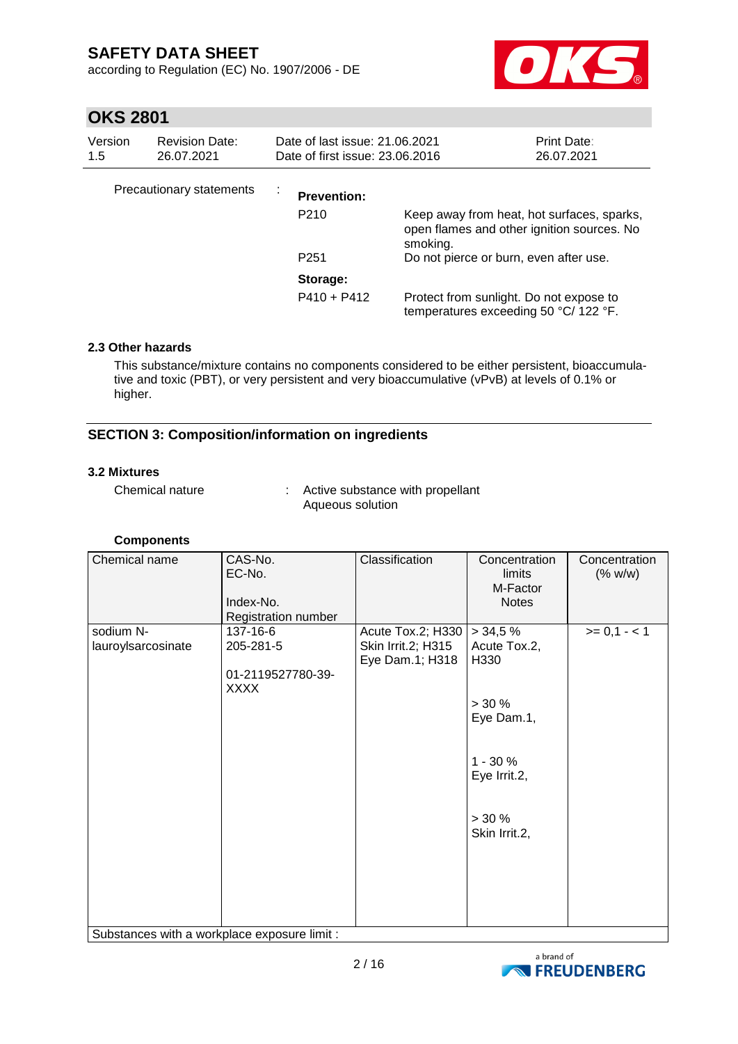according to Regulation (EC) No. 1907/2006 - DE



## **OKS 2801**

| Version<br>1.5 | <b>Revision Date:</b><br>26.07.2021 | Date of last issue: 21.06.2021<br>Date of first issue: 23,06,2016 |                                                                                                      | Print Date:<br>26.07.2021 |
|----------------|-------------------------------------|-------------------------------------------------------------------|------------------------------------------------------------------------------------------------------|---------------------------|
|                | Precautionary statements            | <b>Prevention:</b>                                                |                                                                                                      |                           |
|                |                                     | P <sub>210</sub>                                                  | Keep away from heat, hot surfaces, sparks,<br>open flames and other ignition sources. No<br>smoking. |                           |
|                |                                     | P <sub>251</sub>                                                  | Do not pierce or burn, even after use.                                                               |                           |
|                |                                     | Storage:                                                          |                                                                                                      |                           |
|                |                                     | $P410 + P412$                                                     | Protect from sunlight. Do not expose to<br>temperatures exceeding 50 °C/ 122 °F.                     |                           |

### **2.3 Other hazards**

This substance/mixture contains no components considered to be either persistent, bioaccumulative and toxic (PBT), or very persistent and very bioaccumulative (vPvB) at levels of 0.1% or higher.

### **SECTION 3: Composition/information on ingredients**

#### **3.2 Mixtures**

Chemical nature : Active substance with propellant Aqueous solution

### **Components**

| Chemical name                                | CAS-No.<br>EC-No.<br>Index-No.<br>Registration number | Classification     | Concentration<br>limits<br>M-Factor<br><b>Notes</b> | Concentration<br>(% w/w) |
|----------------------------------------------|-------------------------------------------------------|--------------------|-----------------------------------------------------|--------------------------|
| sodium N-                                    | 137-16-6                                              | Acute Tox.2; H330  | > 34.5%                                             | $>= 0,1 - 1$             |
| lauroylsarcosinate                           | 205-281-5                                             | Skin Irrit.2; H315 | Acute Tox.2,                                        |                          |
|                                              |                                                       | Eye Dam.1; H318    | H330                                                |                          |
|                                              | 01-2119527780-39-<br><b>XXXX</b>                      |                    |                                                     |                          |
|                                              |                                                       |                    | $> 30 \%$                                           |                          |
|                                              |                                                       |                    | Eye Dam.1,                                          |                          |
|                                              |                                                       |                    | $1 - 30%$<br>Eye Irrit.2,                           |                          |
|                                              |                                                       |                    | $> 30 \%$<br>Skin Irrit.2,                          |                          |
|                                              |                                                       |                    |                                                     |                          |
|                                              |                                                       |                    |                                                     |                          |
| Substances with a workplace exposure limit : |                                                       |                    |                                                     |                          |

Substances with a workplace exposure limit :

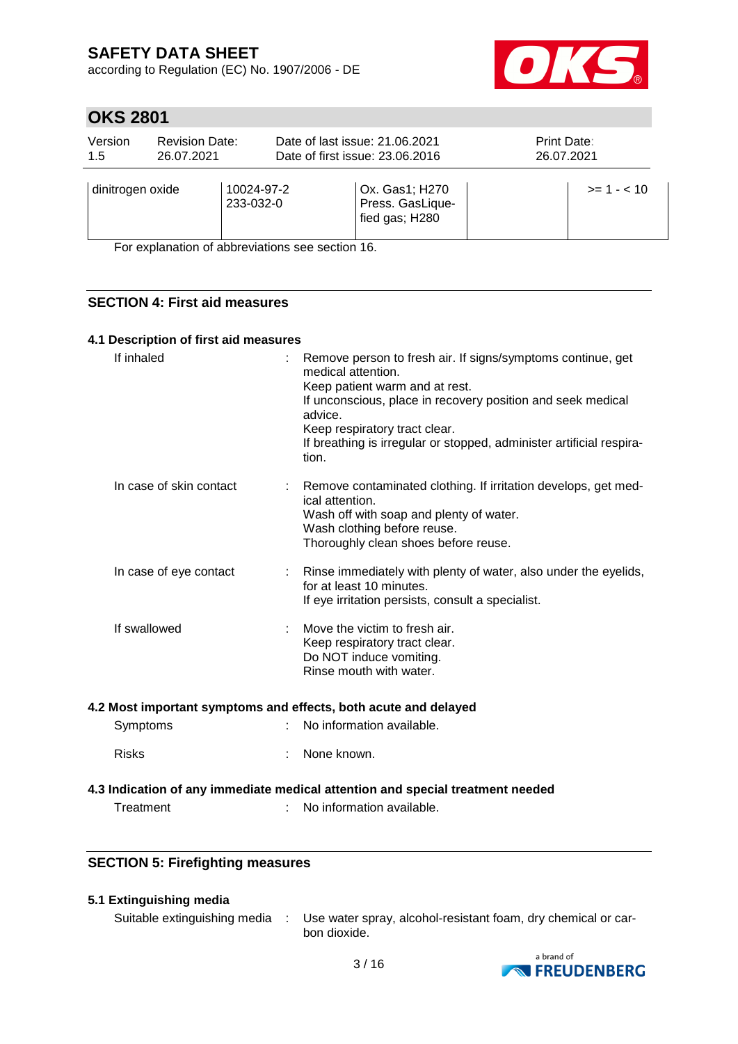according to Regulation (EC) No. 1907/2006 - DE



## **OKS 2801**

| Version          | <b>Revision Date:</b> |                                                                                                              | Date of last issue: 21.06.2021                       | Print Date:   |
|------------------|-----------------------|--------------------------------------------------------------------------------------------------------------|------------------------------------------------------|---------------|
| 1.5              | 26.07.2021            |                                                                                                              | Date of first issue: 23.06.2016                      | 26.07.2021    |
| dinitrogen oxide |                       | 10024-97-2<br>233-032-0<br>$\Gamma$ and according the set of all boxed attacks a set of a strong $\Lambda$ O | Ox. Gas1; H270<br>Press. GasLique-<br>fied gas; H280 | $>= 1 - < 10$ |

For explanation of abbreviations see section 16.

### **SECTION 4: First aid measures**

#### **4.1 Description of first aid measures**

| If inhaled              | : Remove person to fresh air. If signs/symptoms continue, get<br>medical attention.<br>Keep patient warm and at rest.<br>If unconscious, place in recovery position and seek medical<br>advice.<br>Keep respiratory tract clear.<br>If breathing is irregular or stopped, administer artificial respira-<br>tion. |
|-------------------------|-------------------------------------------------------------------------------------------------------------------------------------------------------------------------------------------------------------------------------------------------------------------------------------------------------------------|
| In case of skin contact | : Remove contaminated clothing. If irritation develops, get med-<br>ical attention.<br>Wash off with soap and plenty of water.<br>Wash clothing before reuse.<br>Thoroughly clean shoes before reuse.                                                                                                             |
| In case of eye contact  | : Rinse immediately with plenty of water, also under the eyelids,<br>for at least 10 minutes.<br>If eye irritation persists, consult a specialist.                                                                                                                                                                |
| If swallowed            | Move the victim to fresh air.<br>Keep respiratory tract clear.<br>Do NOT induce vomiting.<br>Rinse mouth with water.                                                                                                                                                                                              |

#### **4.2 Most important symptoms and effects, both acute and delayed**

| Symptoms | No information available. |
|----------|---------------------------|
|          |                           |

Risks : None known.

### **4.3 Indication of any immediate medical attention and special treatment needed**

Treatment : No information available.

### **SECTION 5: Firefighting measures**

### **5.1 Extinguishing media**

Suitable extinguishing media : Use water spray, alcohol-resistant foam, dry chemical or carbon dioxide.

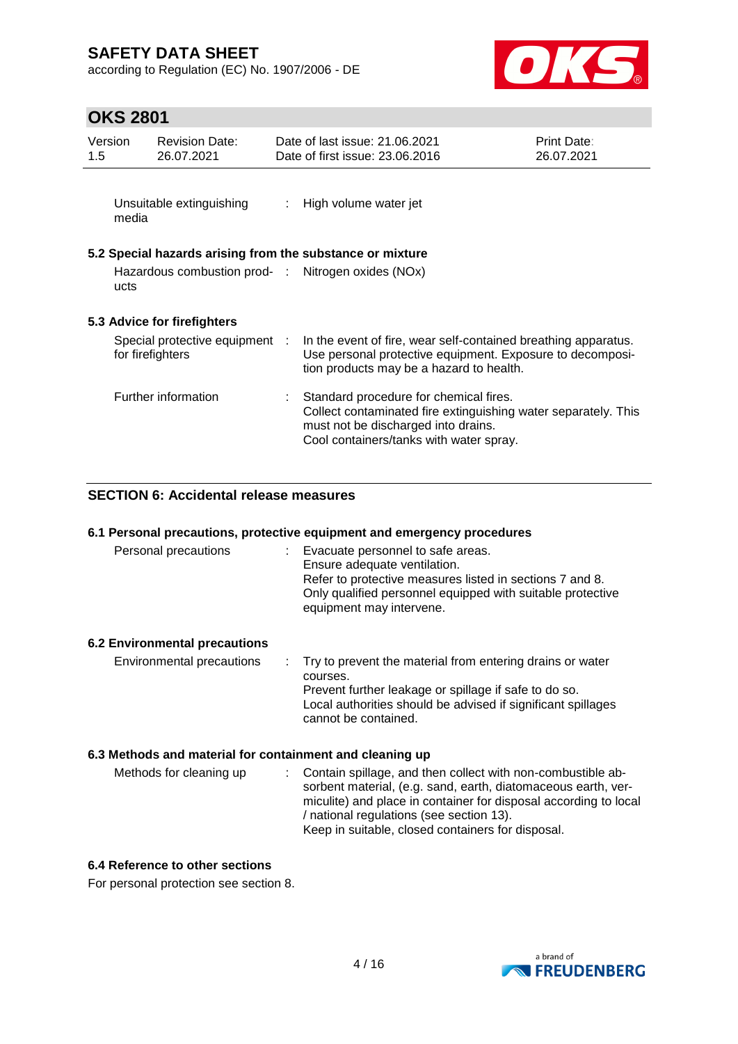according to Regulation (EC) No. 1907/2006 - DE



## **OKS 2801**

| Version<br>1.5 | <b>Revision Date:</b><br>26.07.2021                |                           | Date of last issue: 21.06.2021<br>Date of first issue: 23.06.2016                                                                                                                          | <b>Print Date:</b><br>26.07.2021 |
|----------------|----------------------------------------------------|---------------------------|--------------------------------------------------------------------------------------------------------------------------------------------------------------------------------------------|----------------------------------|
| media          | Unsuitable extinguishing                           | $\mathbb{Z}^{\mathbb{Z}}$ | High volume water jet                                                                                                                                                                      |                                  |
|                |                                                    |                           | 5.2 Special hazards arising from the substance or mixture                                                                                                                                  |                                  |
| ucts           |                                                    |                           | Hazardous combustion prod- : Nitrogen oxides (NOx)                                                                                                                                         |                                  |
|                | 5.3 Advice for firefighters                        |                           |                                                                                                                                                                                            |                                  |
|                | Special protective equipment :<br>for firefighters |                           | In the event of fire, wear self-contained breathing apparatus.<br>Use personal protective equipment. Exposure to decomposi-<br>tion products may be a hazard to health.                    |                                  |
|                | Further information                                |                           | Standard procedure for chemical fires.<br>Collect contaminated fire extinguishing water separately. This<br>must not be discharged into drains.<br>Cool containers/tanks with water spray. |                                  |

### **SECTION 6: Accidental release measures**

| 6.1 Personal precautions, protective equipment and emergency procedures |                                                                                                                                                                                                                           |  |  |  |  |
|-------------------------------------------------------------------------|---------------------------------------------------------------------------------------------------------------------------------------------------------------------------------------------------------------------------|--|--|--|--|
| Personal precautions                                                    | : Evacuate personnel to safe areas.<br>Ensure adequate ventilation.<br>Refer to protective measures listed in sections 7 and 8.<br>Only qualified personnel equipped with suitable protective<br>equipment may intervene. |  |  |  |  |
| <b>6.2 Environmental precautions</b>                                    |                                                                                                                                                                                                                           |  |  |  |  |
| Environmental precautions                                               | : Try to prevent the material from entering drains or water<br>courses.<br>Prevent further leakage or spillage if safe to do so.<br>Local authorities should be advised if significant spillages<br>cannot be contained.  |  |  |  |  |
| 6.3 Methods and material for containment and cleaning up                |                                                                                                                                                                                                                           |  |  |  |  |
| Methods for cleaning up                                                 | Contain spillage, and then collect with non-combustible ab-<br>t in                                                                                                                                                       |  |  |  |  |

sorbent material, (e.g. sand, earth, diatomaceous earth, vermiculite) and place in container for disposal according to local / national regulations (see section 13). Keep in suitable, closed containers for disposal.

#### **6.4 Reference to other sections**

For personal protection see section 8.

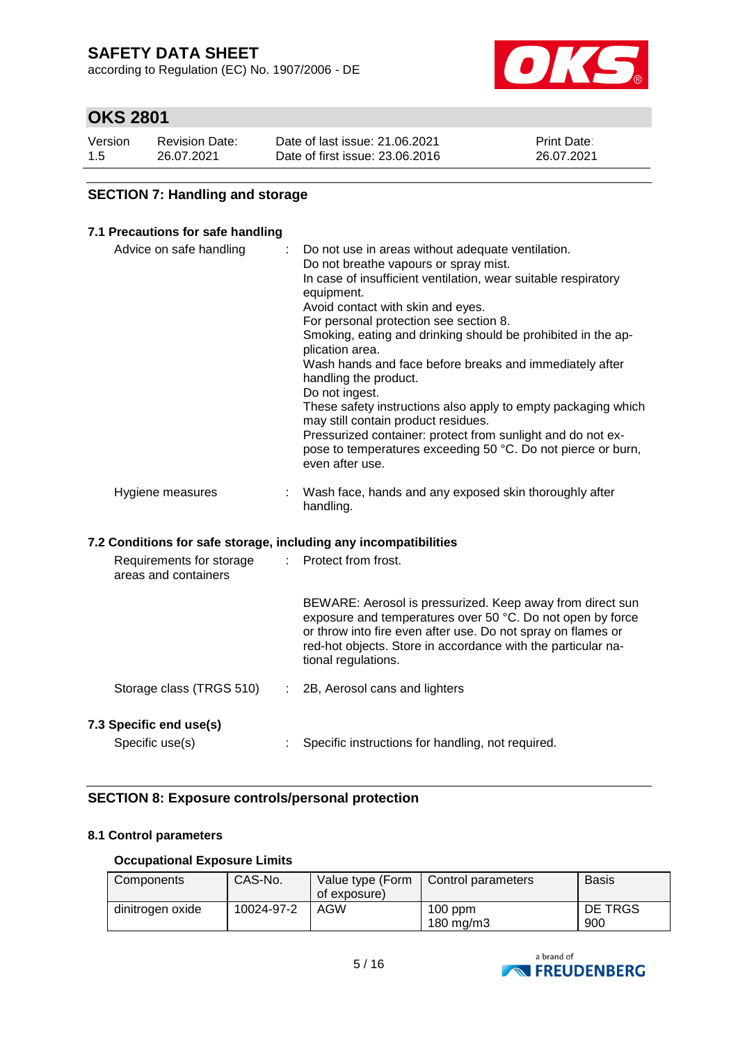according to Regulation (EC) No. 1907/2006 - DE



## **OKS 2801**

| Version | <b>Revision Date:</b> | Date of last issue: 21.06.2021  | <b>Print Date:</b> |
|---------|-----------------------|---------------------------------|--------------------|
| 1.5     | 26.07.2021            | Date of first issue: 23,06,2016 | 26.07.2021         |

### **SECTION 7: Handling and storage**

#### **7.1 Precautions for safe handling**

| Advice on safe handling | : Do not use in areas without adequate ventilation.<br>Do not breathe vapours or spray mist.<br>In case of insufficient ventilation, wear suitable respiratory<br>equipment.<br>Avoid contact with skin and eyes.<br>For personal protection see section 8.<br>Smoking, eating and drinking should be prohibited in the ap-<br>plication area.<br>Wash hands and face before breaks and immediately after<br>handling the product.<br>Do not ingest.<br>These safety instructions also apply to empty packaging which<br>may still contain product residues.<br>Pressurized container: protect from sunlight and do not ex-<br>pose to temperatures exceeding 50 °C. Do not pierce or burn,<br>even after use. |
|-------------------------|----------------------------------------------------------------------------------------------------------------------------------------------------------------------------------------------------------------------------------------------------------------------------------------------------------------------------------------------------------------------------------------------------------------------------------------------------------------------------------------------------------------------------------------------------------------------------------------------------------------------------------------------------------------------------------------------------------------|
| Hygiene measures        | Wash face, hands and any exposed skin thoroughly after<br>handling.                                                                                                                                                                                                                                                                                                                                                                                                                                                                                                                                                                                                                                            |

#### **7.2 Conditions for safe storage, including any incompatibilities**

| Requirements for storage<br>areas and containers | : Protect from frost.                                                                                                                                                                                                                                                          |
|--------------------------------------------------|--------------------------------------------------------------------------------------------------------------------------------------------------------------------------------------------------------------------------------------------------------------------------------|
|                                                  | BEWARE: Aerosol is pressurized. Keep away from direct sun<br>exposure and temperatures over 50 °C. Do not open by force<br>or throw into fire even after use. Do not spray on flames or<br>red-hot objects. Store in accordance with the particular na-<br>tional regulations. |
| Storage class (TRGS 510)                         | 2B, Aerosol cans and lighters                                                                                                                                                                                                                                                  |
| 7.3 Specific end use(s)<br>Specific use(s)       | Specific instructions for handling, not required.                                                                                                                                                                                                                              |

### **SECTION 8: Exposure controls/personal protection**

### **8.1 Control parameters**

#### **Occupational Exposure Limits**

| Components       | CAS-No.    | Value type (Form<br>of exposure) | Control parameters        | <b>Basis</b>   |
|------------------|------------|----------------------------------|---------------------------|----------------|
| dinitrogen oxide | 10024-97-2 | AGW                              | $100$ ppm<br>180 mg/m $3$ | DE TRGS<br>900 |

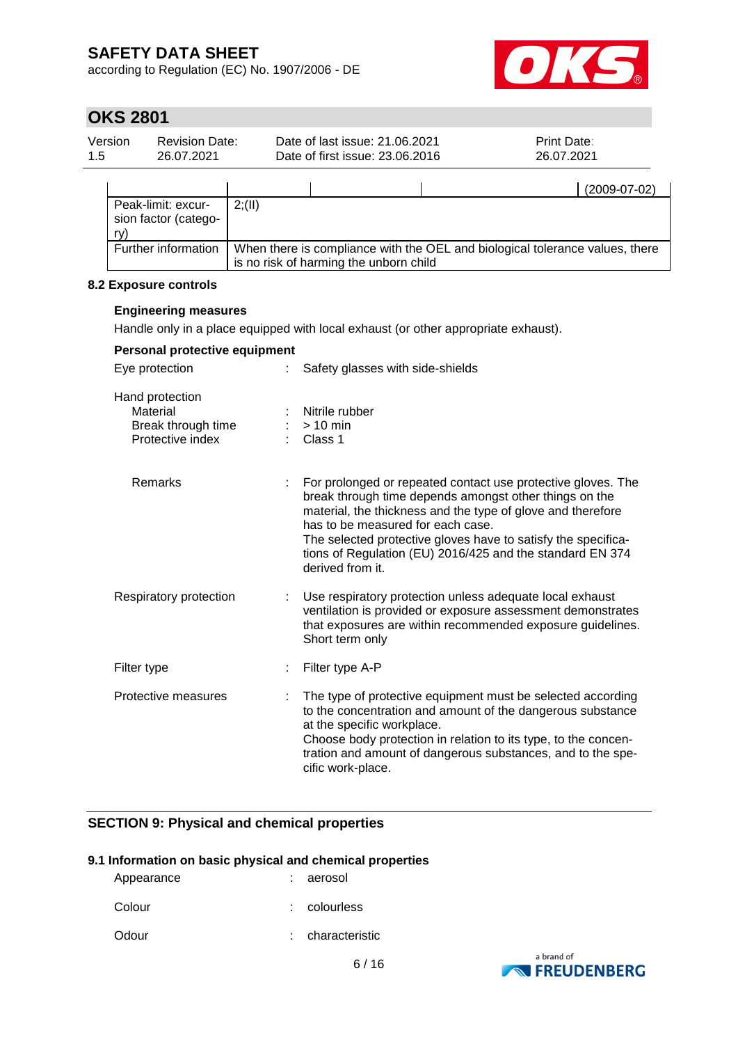according to Regulation (EC) No. 1907/2006 - DE



# **OKS 2801**

| 1.5 | Version<br><b>Revision Date:</b><br>26.07.2021                        |         |                                         | Date of last issue: 21.06.2021<br>Date of first issue: 23.06.2016                  | Print Date:<br>26.07.2021                                                                                                                                                                                                                                                                                           |
|-----|-----------------------------------------------------------------------|---------|-----------------------------------------|------------------------------------------------------------------------------------|---------------------------------------------------------------------------------------------------------------------------------------------------------------------------------------------------------------------------------------------------------------------------------------------------------------------|
|     |                                                                       |         |                                         |                                                                                    | $(2009-07-02)$                                                                                                                                                                                                                                                                                                      |
|     | Peak-limit: excur-<br>sion factor (catego-<br>ry)                     | 2; (II) |                                         |                                                                                    |                                                                                                                                                                                                                                                                                                                     |
|     | Further information                                                   |         |                                         | is no risk of harming the unborn child                                             | When there is compliance with the OEL and biological tolerance values, there                                                                                                                                                                                                                                        |
|     | 8.2 Exposure controls                                                 |         |                                         |                                                                                    |                                                                                                                                                                                                                                                                                                                     |
|     | <b>Engineering measures</b>                                           |         |                                         |                                                                                    |                                                                                                                                                                                                                                                                                                                     |
|     |                                                                       |         |                                         | Handle only in a place equipped with local exhaust (or other appropriate exhaust). |                                                                                                                                                                                                                                                                                                                     |
|     | Personal protective equipment                                         |         |                                         |                                                                                    |                                                                                                                                                                                                                                                                                                                     |
|     | Eye protection                                                        |         |                                         | Safety glasses with side-shields                                                   |                                                                                                                                                                                                                                                                                                                     |
|     | Hand protection<br>Material<br>Break through time<br>Protective index |         | Nitrile rubber<br>$> 10$ min<br>Class 1 |                                                                                    |                                                                                                                                                                                                                                                                                                                     |
|     | Remarks                                                               |         | derived from it.                        | has to be measured for each case.                                                  | For prolonged or repeated contact use protective gloves. The<br>break through time depends amongst other things on the<br>material, the thickness and the type of glove and therefore<br>The selected protective gloves have to satisfy the specifica-<br>tions of Regulation (EU) 2016/425 and the standard EN 374 |
|     | Respiratory protection                                                | ÷       | Short term only                         |                                                                                    | Use respiratory protection unless adequate local exhaust<br>ventilation is provided or exposure assessment demonstrates<br>that exposures are within recommended exposure guidelines.                                                                                                                               |
|     | Filter type                                                           |         | Filter type A-P                         |                                                                                    |                                                                                                                                                                                                                                                                                                                     |
|     | Protective measures                                                   |         | cific work-place.                       | at the specific workplace.                                                         | The type of protective equipment must be selected according<br>to the concentration and amount of the dangerous substance<br>Choose body protection in relation to its type, to the concen-<br>tration and amount of dangerous substances, and to the spe-                                                          |

### **SECTION 9: Physical and chemical properties**

#### **9.1 Information on basic physical and chemical properties**

| Appearance | : aerosol      |
|------------|----------------|
| Colour     | $:$ colourless |
| Odour      | characteristic |

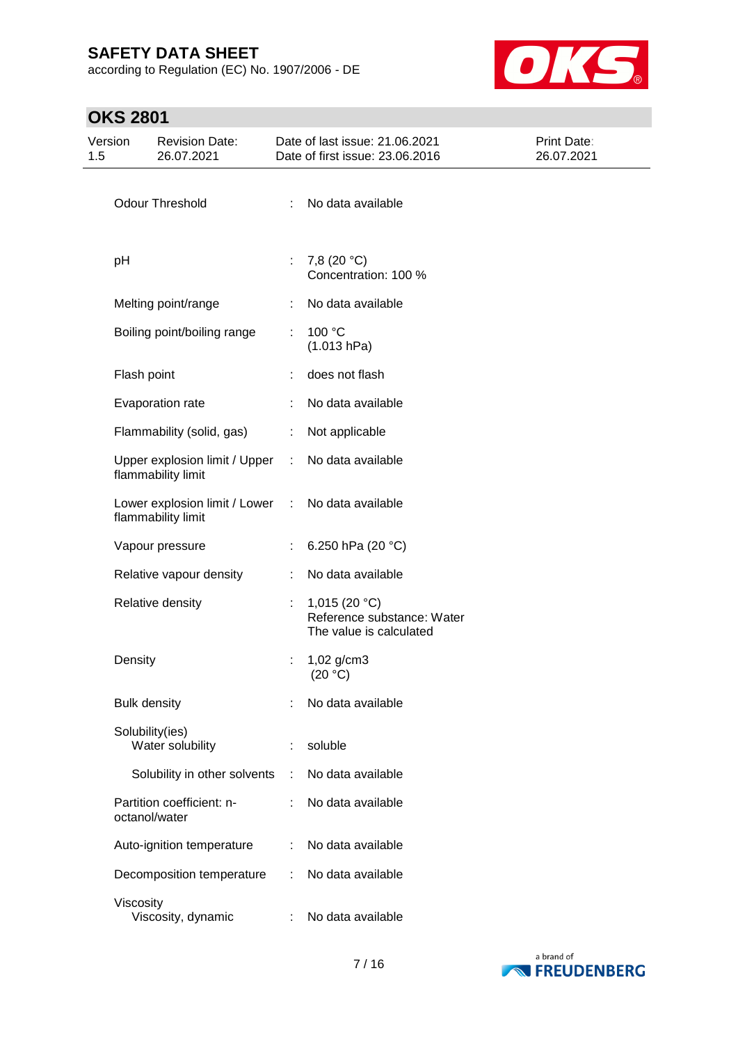according to Regulation (EC) No. 1907/2006 - DE



# **OKS 2801**

| 1.5 | Version             | <b>Revision Date:</b><br>26.07.2021                 |               | Date of last issue: 21.06.2021<br>Date of first issue: 23.06.2016        | Print Date:<br>26.07.2021 |
|-----|---------------------|-----------------------------------------------------|---------------|--------------------------------------------------------------------------|---------------------------|
|     |                     |                                                     |               |                                                                          |                           |
|     |                     | <b>Odour Threshold</b>                              | ÷             | No data available                                                        |                           |
|     | pH                  |                                                     | ÷.            | 7,8 (20 °C)<br>Concentration: 100 %                                      |                           |
|     |                     | Melting point/range                                 |               | No data available                                                        |                           |
|     |                     | Boiling point/boiling range                         | ÷.            | 100 °C<br>(1.013 hPa)                                                    |                           |
|     | Flash point         |                                                     |               | does not flash                                                           |                           |
|     |                     | Evaporation rate                                    |               | No data available                                                        |                           |
|     |                     | Flammability (solid, gas)                           | ÷             | Not applicable                                                           |                           |
|     |                     | Upper explosion limit / Upper<br>flammability limit | ÷.            | No data available                                                        |                           |
|     |                     | Lower explosion limit / Lower<br>flammability limit | $\mathcal{L}$ | No data available                                                        |                           |
|     |                     | Vapour pressure                                     |               | 6.250 hPa (20 °C)                                                        |                           |
|     |                     | Relative vapour density                             | ÷             | No data available                                                        |                           |
|     |                     | Relative density                                    |               | 1,015 $(20 °C)$<br>Reference substance: Water<br>The value is calculated |                           |
|     | Density             |                                                     |               | 1,02 g/cm3<br>(20 °C)                                                    |                           |
|     | <b>Bulk density</b> |                                                     |               | No data available                                                        |                           |
|     |                     | Solubility(ies)<br>Water solubility                 |               | soluble                                                                  |                           |
|     |                     | Solubility in other solvents                        |               | No data available                                                        |                           |
|     |                     | Partition coefficient: n-<br>octanol/water          |               | No data available                                                        |                           |
|     |                     | Auto-ignition temperature                           |               | No data available                                                        |                           |
|     |                     | Decomposition temperature                           | ÷             | No data available                                                        |                           |
|     | Viscosity           | Viscosity, dynamic                                  |               | No data available                                                        |                           |

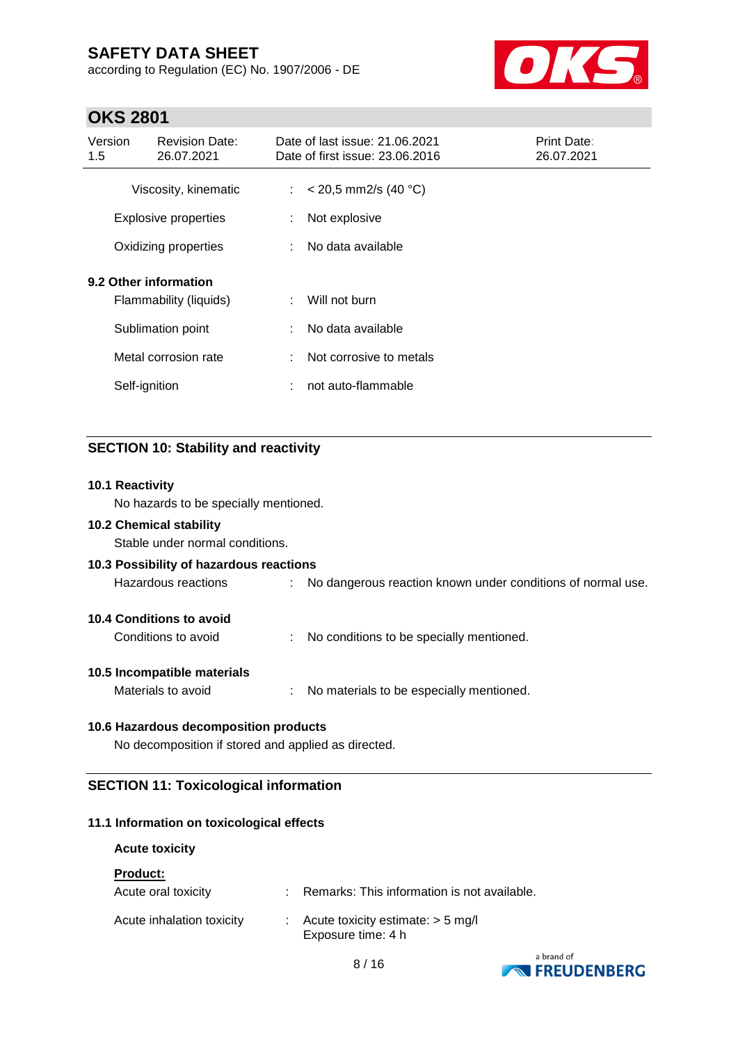according to Regulation (EC) No. 1907/2006 - DE



## **OKS 2801**

| Version<br>1.5                                  |               | <b>Revision Date:</b><br>26.07.2021 |    | Date of last issue: 21.06.2021<br>Date of first issue: 23.06.2016 | <b>Print Date:</b><br>26.07.2021 |
|-------------------------------------------------|---------------|-------------------------------------|----|-------------------------------------------------------------------|----------------------------------|
|                                                 |               | Viscosity, kinematic                |    | : $<$ 20,5 mm2/s (40 °C)                                          |                                  |
|                                                 |               | <b>Explosive properties</b>         | ÷  | Not explosive                                                     |                                  |
|                                                 |               | Oxidizing properties                | ÷. | No data available                                                 |                                  |
| 9.2 Other information<br>Flammability (liquids) |               |                                     | ÷. | Will not burn                                                     |                                  |
|                                                 |               | Sublimation point                   | ÷  | No data available                                                 |                                  |
|                                                 |               | Metal corrosion rate                | ÷. | Not corrosive to metals                                           |                                  |
|                                                 | Self-ignition |                                     | ÷  | not auto-flammable                                                |                                  |

### **SECTION 10: Stability and reactivity**

#### **10.1 Reactivity**

No hazards to be specially mentioned.

#### **10.2 Chemical stability**

Stable under normal conditions.

### **10.3 Possibility of hazardous reactions**

Hazardous reactions : No dangerous reaction known under conditions of normal use.

### **10.4 Conditions to avoid**

Conditions to avoid : No conditions to be specially mentioned.

#### **10.5 Incompatible materials**

Materials to avoid : No materials to be especially mentioned.

### **10.6 Hazardous decomposition products**

No decomposition if stored and applied as directed.

### **SECTION 11: Toxicological information**

#### **11.1 Information on toxicological effects**

#### **Acute toxicity**

#### **Product:**

| Acute oral toxicity       | Remarks: This information is not available.                            |
|---------------------------|------------------------------------------------------------------------|
| Acute inhalation toxicity | $\therefore$ Acute toxicity estimate: $>$ 5 mg/l<br>Exposure time: 4 h |

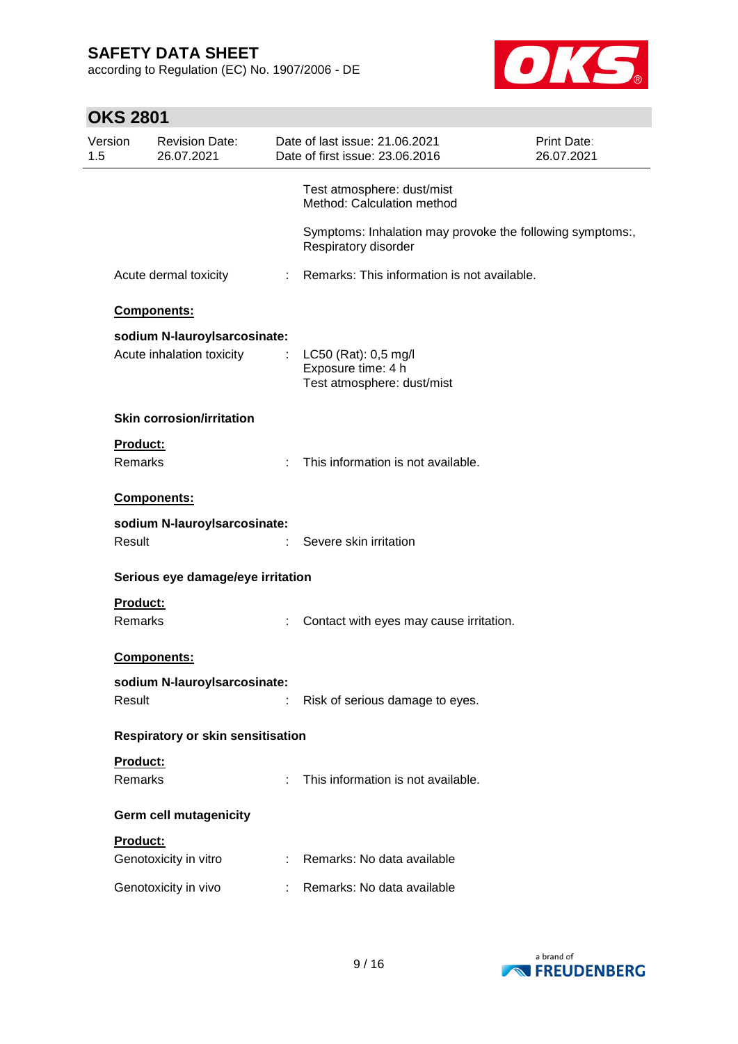according to Regulation (EC) No. 1907/2006 - DE



# **OKS 2801**

| Version<br>1.5 |                 | <b>Revision Date:</b><br>26.07.2021 |   | Date of last issue: 21.06.2021<br>Date of first issue: 23.06.2016                 | Print Date:<br>26.07.2021 |
|----------------|-----------------|-------------------------------------|---|-----------------------------------------------------------------------------------|---------------------------|
|                |                 |                                     |   | Test atmosphere: dust/mist<br>Method: Calculation method                          |                           |
|                |                 |                                     |   | Symptoms: Inhalation may provoke the following symptoms:,<br>Respiratory disorder |                           |
|                |                 | Acute dermal toxicity               |   | : Remarks: This information is not available.                                     |                           |
|                |                 | Components:                         |   |                                                                                   |                           |
|                |                 | sodium N-lauroyIsarcosinate:        |   |                                                                                   |                           |
|                |                 | Acute inhalation toxicity           | ÷ | LC50 (Rat): 0,5 mg/l                                                              |                           |
|                |                 |                                     |   | Exposure time: 4 h                                                                |                           |
|                |                 |                                     |   | Test atmosphere: dust/mist                                                        |                           |
|                |                 | <b>Skin corrosion/irritation</b>    |   |                                                                                   |                           |
|                | <b>Product:</b> |                                     |   |                                                                                   |                           |
|                | Remarks         |                                     |   | This information is not available.                                                |                           |
|                |                 | Components:                         |   |                                                                                   |                           |
|                |                 | sodium N-lauroyIsarcosinate:        |   |                                                                                   |                           |
|                | Result          |                                     |   | Severe skin irritation                                                            |                           |
|                |                 | Serious eye damage/eye irritation   |   |                                                                                   |                           |
|                | Product:        |                                     |   |                                                                                   |                           |
|                | Remarks         |                                     |   | Contact with eyes may cause irritation.                                           |                           |
|                |                 | Components:                         |   |                                                                                   |                           |
|                |                 | sodium N-lauroylsarcosinate:        |   |                                                                                   |                           |
|                | Result          |                                     | ÷ | Risk of serious damage to eyes.                                                   |                           |
|                |                 | Respiratory or skin sensitisation   |   |                                                                                   |                           |
|                | Product:        |                                     |   |                                                                                   |                           |
|                | Remarks         |                                     |   | This information is not available.                                                |                           |
|                |                 | <b>Germ cell mutagenicity</b>       |   |                                                                                   |                           |
|                | Product:        |                                     |   |                                                                                   |                           |
|                |                 | Genotoxicity in vitro               |   | : Remarks: No data available                                                      |                           |
|                |                 | Genotoxicity in vivo                |   | Remarks: No data available                                                        |                           |

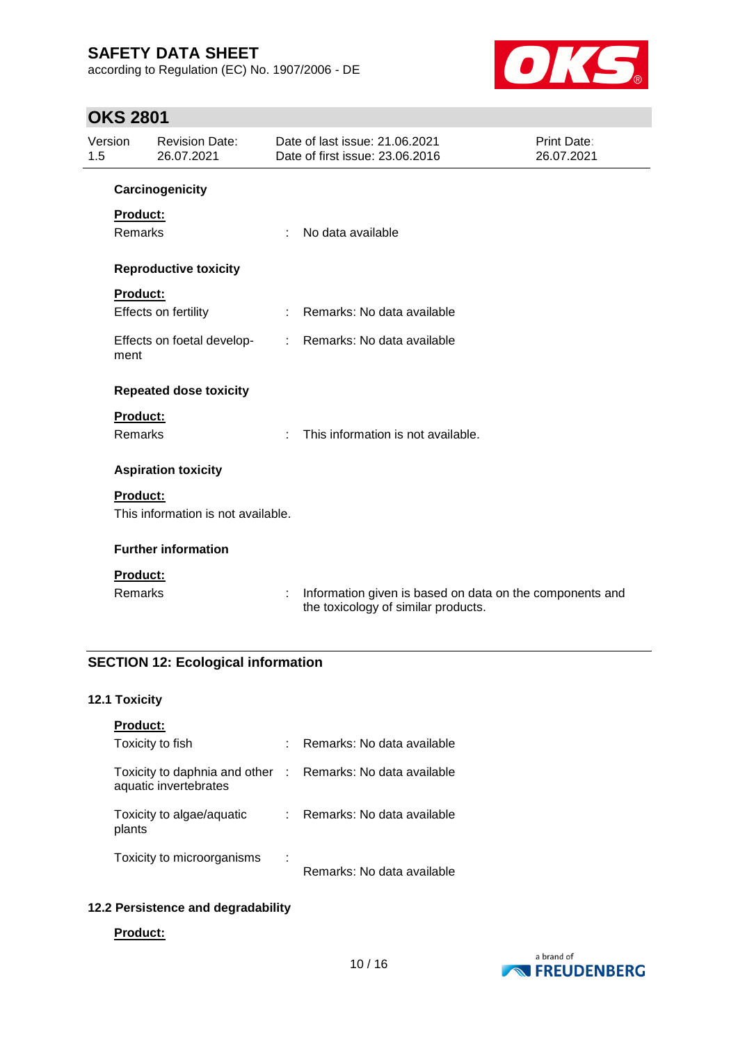according to Regulation (EC) No. 1907/2006 - DE



## **OKS 2801**

| 1.5 | Version<br><b>Revision Date:</b><br>26.07.2021 |                                    | Date of last issue: 21.06.2021<br><b>Print Date:</b><br>Date of first issue: 23.06.2016<br>26.07.2021 |                                                                                                 |  |
|-----|------------------------------------------------|------------------------------------|-------------------------------------------------------------------------------------------------------|-------------------------------------------------------------------------------------------------|--|
|     |                                                | Carcinogenicity                    |                                                                                                       |                                                                                                 |  |
|     | Product:                                       |                                    |                                                                                                       |                                                                                                 |  |
|     | <b>Remarks</b>                                 |                                    | ÷                                                                                                     | No data available                                                                               |  |
|     |                                                | <b>Reproductive toxicity</b>       |                                                                                                       |                                                                                                 |  |
|     | <b>Product:</b>                                |                                    |                                                                                                       |                                                                                                 |  |
|     |                                                | Effects on fertility               |                                                                                                       | Remarks: No data available                                                                      |  |
|     | ment                                           | Effects on foetal develop-         | $\mathbb{R}^n$                                                                                        | Remarks: No data available                                                                      |  |
|     |                                                | <b>Repeated dose toxicity</b>      |                                                                                                       |                                                                                                 |  |
|     | <b>Product:</b>                                |                                    |                                                                                                       |                                                                                                 |  |
|     | <b>Remarks</b>                                 |                                    | $\bullet$                                                                                             | This information is not available.                                                              |  |
|     |                                                | <b>Aspiration toxicity</b>         |                                                                                                       |                                                                                                 |  |
|     | <b>Product:</b>                                |                                    |                                                                                                       |                                                                                                 |  |
|     |                                                | This information is not available. |                                                                                                       |                                                                                                 |  |
|     |                                                | <b>Further information</b>         |                                                                                                       |                                                                                                 |  |
|     | Product:                                       |                                    |                                                                                                       |                                                                                                 |  |
|     | Remarks                                        |                                    | ÷                                                                                                     | Information given is based on data on the components and<br>the toxicology of similar products. |  |

## **SECTION 12: Ecological information**

### **12.1 Toxicity**

| <b>Product:</b>                                                                     |   |                            |
|-------------------------------------------------------------------------------------|---|----------------------------|
| Toxicity to fish                                                                    | ÷ | Remarks: No data available |
| Toxicity to daphnia and other : Remarks: No data available<br>aquatic invertebrates |   |                            |
| Toxicity to algae/aquatic<br>plants                                                 | ÷ | Remarks: No data available |
| Toxicity to microorganisms                                                          | ÷ | Remarks: No data available |

### **12.2 Persistence and degradability**

#### **Product:**

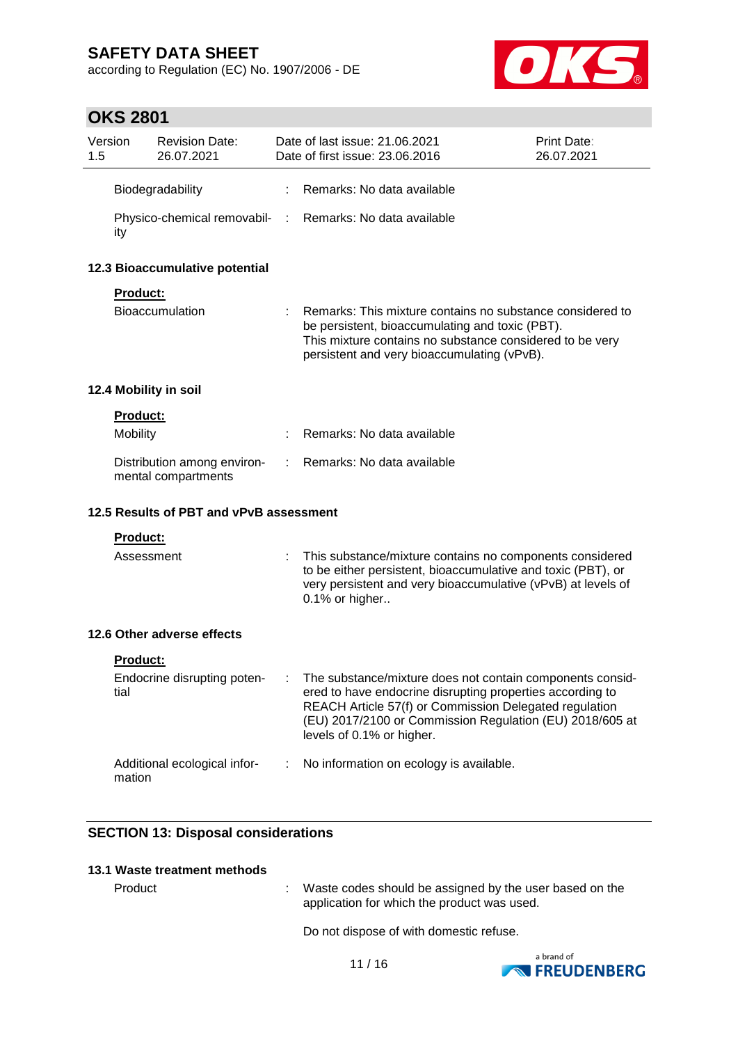according to Regulation (EC) No. 1907/2006 - DE



# **OKS 2801**

| Version<br>1.5 |                                | <b>Revision Date:</b><br>26.07.2021                |    | Date of last issue: 21.06.2021<br>Date of first issue: 23.06.2016                                                                                                                                                                                                         | Print Date:<br>26.07.2021 |  |  |  |
|----------------|--------------------------------|----------------------------------------------------|----|---------------------------------------------------------------------------------------------------------------------------------------------------------------------------------------------------------------------------------------------------------------------------|---------------------------|--|--|--|
|                |                                | Biodegradability                                   |    | Remarks: No data available                                                                                                                                                                                                                                                |                           |  |  |  |
|                | ity                            |                                                    |    | Physico-chemical removabil- : Remarks: No data available                                                                                                                                                                                                                  |                           |  |  |  |
|                | 12.3 Bioaccumulative potential |                                                    |    |                                                                                                                                                                                                                                                                           |                           |  |  |  |
|                | Product:                       |                                                    |    |                                                                                                                                                                                                                                                                           |                           |  |  |  |
|                |                                | <b>Bioaccumulation</b>                             |    | : Remarks: This mixture contains no substance considered to<br>be persistent, bioaccumulating and toxic (PBT).<br>This mixture contains no substance considered to be very<br>persistent and very bioaccumulating (vPvB).                                                 |                           |  |  |  |
|                |                                | 12.4 Mobility in soil                              |    |                                                                                                                                                                                                                                                                           |                           |  |  |  |
|                | Product:                       |                                                    |    |                                                                                                                                                                                                                                                                           |                           |  |  |  |
|                | Mobility                       |                                                    |    | Remarks: No data available                                                                                                                                                                                                                                                |                           |  |  |  |
|                |                                | Distribution among environ-<br>mental compartments | ÷. | Remarks: No data available                                                                                                                                                                                                                                                |                           |  |  |  |
|                |                                | 12.5 Results of PBT and vPvB assessment            |    |                                                                                                                                                                                                                                                                           |                           |  |  |  |
|                | <b>Product:</b>                |                                                    |    |                                                                                                                                                                                                                                                                           |                           |  |  |  |
|                | Assessment                     |                                                    |    | This substance/mixture contains no components considered<br>to be either persistent, bioaccumulative and toxic (PBT), or<br>very persistent and very bioaccumulative (vPvB) at levels of<br>0.1% or higher                                                                |                           |  |  |  |
|                |                                | 12.6 Other adverse effects                         |    |                                                                                                                                                                                                                                                                           |                           |  |  |  |
|                | <b>Product:</b>                |                                                    |    |                                                                                                                                                                                                                                                                           |                           |  |  |  |
|                | tial                           | Endocrine disrupting poten-                        |    | The substance/mixture does not contain components consid-<br>ered to have endocrine disrupting properties according to<br>REACH Article 57(f) or Commission Delegated regulation<br>(EU) 2017/2100 or Commission Regulation (EU) 2018/605 at<br>levels of 0.1% or higher. |                           |  |  |  |
|                | mation                         | Additional ecological infor-                       | ÷  | No information on ecology is available.                                                                                                                                                                                                                                   |                           |  |  |  |

### **SECTION 13: Disposal considerations**

### **13.1 Waste treatment methods**

Product : Waste codes should be assigned by the user based on the application for which the product was used.

Do not dispose of with domestic refuse.

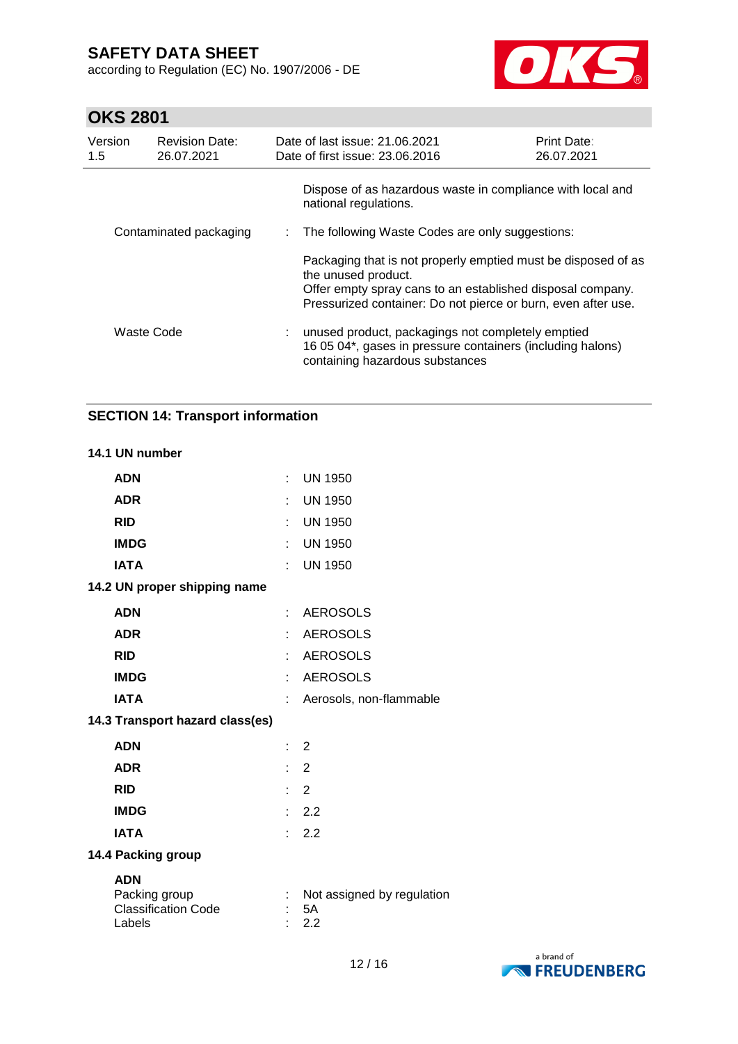according to Regulation (EC) No. 1907/2006 - DE



# **OKS 2801**

| Version<br>1.5         | <b>Revision Date:</b><br>26.07.2021 | Date of last issue: 21.06.2021<br>Date of first issue: 23.06.2016                                                                                                                                                   | <b>Print Date:</b><br>26.07.2021 |  |  |
|------------------------|-------------------------------------|---------------------------------------------------------------------------------------------------------------------------------------------------------------------------------------------------------------------|----------------------------------|--|--|
|                        |                                     | Dispose of as hazardous waste in compliance with local and<br>national regulations.                                                                                                                                 |                                  |  |  |
| Contaminated packaging |                                     | The following Waste Codes are only suggestions:                                                                                                                                                                     |                                  |  |  |
|                        |                                     | Packaging that is not properly emptied must be disposed of as<br>the unused product.<br>Offer empty spray cans to an established disposal company.<br>Pressurized container: Do not pierce or burn, even after use. |                                  |  |  |
|                        | Waste Code                          | : unused product, packagings not completely emptied<br>16 05 04*, gases in pressure containers (including halons)<br>containing hazardous substances                                                                |                                  |  |  |

### **SECTION 14: Transport information**

#### **14.1 UN number**

| <b>ADN</b>                                                          |    | : UN 1950                               |
|---------------------------------------------------------------------|----|-----------------------------------------|
| <b>ADR</b>                                                          |    | <b>UN 1950</b>                          |
| <b>RID</b>                                                          |    | : UN 1950                               |
| <b>IMDG</b>                                                         |    | : UN 1950                               |
| <b>IATA</b>                                                         |    | : UN 1950                               |
| 14.2 UN proper shipping name                                        |    |                                         |
| <b>ADN</b>                                                          |    | : AEROSOLS                              |
| <b>ADR</b>                                                          | t. | <b>AEROSOLS</b>                         |
| <b>RID</b>                                                          | t. | <b>AEROSOLS</b>                         |
| <b>IMDG</b>                                                         | ÷  | <b>AEROSOLS</b>                         |
| <b>IATA</b>                                                         | ÷. | Aerosols, non-flammable                 |
| 14.3 Transport hazard class(es)                                     |    |                                         |
| <b>ADN</b>                                                          | t. | 2                                       |
| <b>ADR</b>                                                          |    | $\therefore$ 2                          |
| <b>RID</b>                                                          |    | $\therefore$ 2                          |
| <b>IMDG</b>                                                         |    | $\therefore$ 2.2                        |
| <b>IATA</b>                                                         | t. | 2.2                                     |
| 14.4 Packing group                                                  |    |                                         |
| <b>ADN</b><br>Packing group<br><b>Classification Code</b><br>Labels |    | Not assigned by regulation<br>5A<br>2.2 |

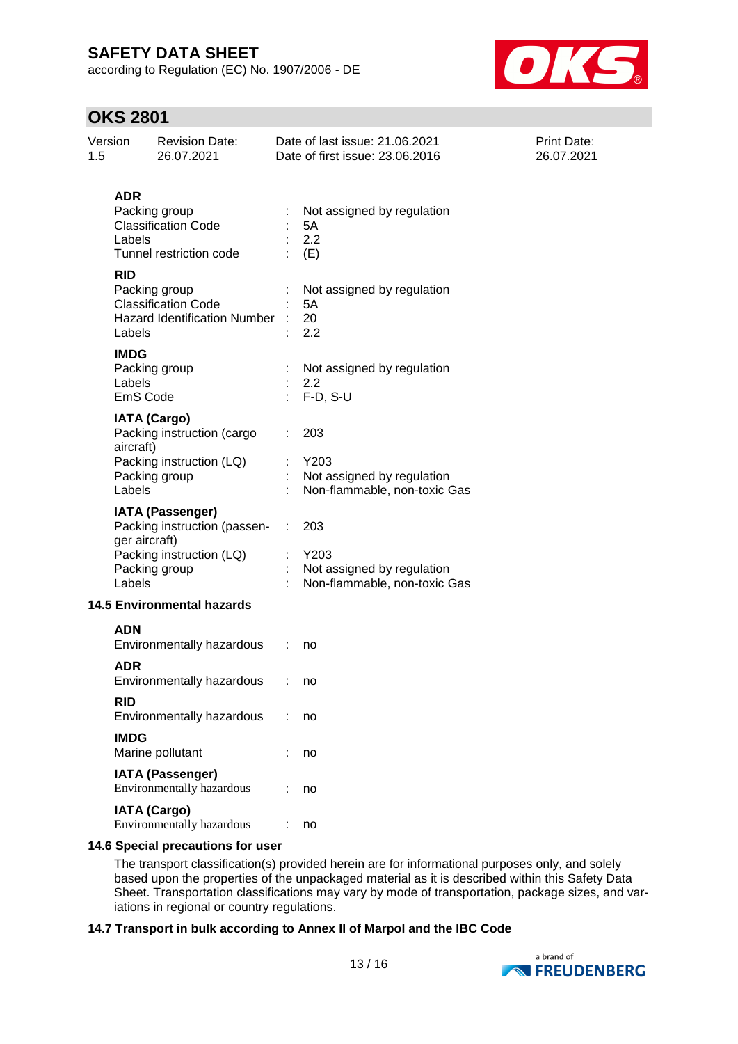according to Regulation (EC) No. 1907/2006 - DE



## **OKS 2801**

| Version<br>1.5        | <b>Revision Date:</b><br>26.07.2021                                                                                   | Date of last issue: 21.06.2021<br>Date of first issue: 23.06.2016         | Print Date:<br>26.07.2021 |
|-----------------------|-----------------------------------------------------------------------------------------------------------------------|---------------------------------------------------------------------------|---------------------------|
| <b>ADR</b><br>Labels  | Packing group<br><b>Classification Code</b><br>Tunnel restriction code                                                | Not assigned by regulation<br>5A<br>2.2<br>(E)                            |                           |
| <b>RID</b><br>Labels  | Packing group<br><b>Classification Code</b><br><b>Hazard Identification Number</b>                                    | Not assigned by regulation<br>5A<br>20<br>2.2                             |                           |
| <b>IMDG</b><br>Labels | Packing group<br>EmS Code                                                                                             | Not assigned by regulation<br>2.2<br>$F-D, S-U$                           |                           |
| aircraft)<br>Labels   | <b>IATA (Cargo)</b><br>Packing instruction (cargo<br>Packing instruction (LQ)<br>Packing group                        | 203<br>Y203<br>Not assigned by regulation<br>Non-flammable, non-toxic Gas |                           |
| Labels                | <b>IATA (Passenger)</b><br>Packing instruction (passen-<br>ger aircraft)<br>Packing instruction (LQ)<br>Packing group | 203<br>Y203<br>Not assigned by regulation<br>Non-flammable, non-toxic Gas |                           |
|                       | <b>14.5 Environmental hazards</b>                                                                                     |                                                                           |                           |
| <b>ADN</b>            | Environmentally hazardous                                                                                             | no                                                                        |                           |
| <b>ADR</b>            | Environmentally hazardous                                                                                             | no                                                                        |                           |
| <b>RID</b>            | Environmentally hazardous                                                                                             | no                                                                        |                           |
| <b>IMDG</b>           | Marine pollutant                                                                                                      | no                                                                        |                           |
|                       | <b>IATA (Passenger)</b><br>Environmentally hazardous                                                                  | no                                                                        |                           |
|                       | <b>IATA (Cargo)</b><br>Environmentally hazardous                                                                      | no                                                                        |                           |
|                       |                                                                                                                       |                                                                           |                           |

#### **14.6 Special precautions for user**

The transport classification(s) provided herein are for informational purposes only, and solely based upon the properties of the unpackaged material as it is described within this Safety Data Sheet. Transportation classifications may vary by mode of transportation, package sizes, and variations in regional or country regulations.

### **14.7 Transport in bulk according to Annex II of Marpol and the IBC Code**

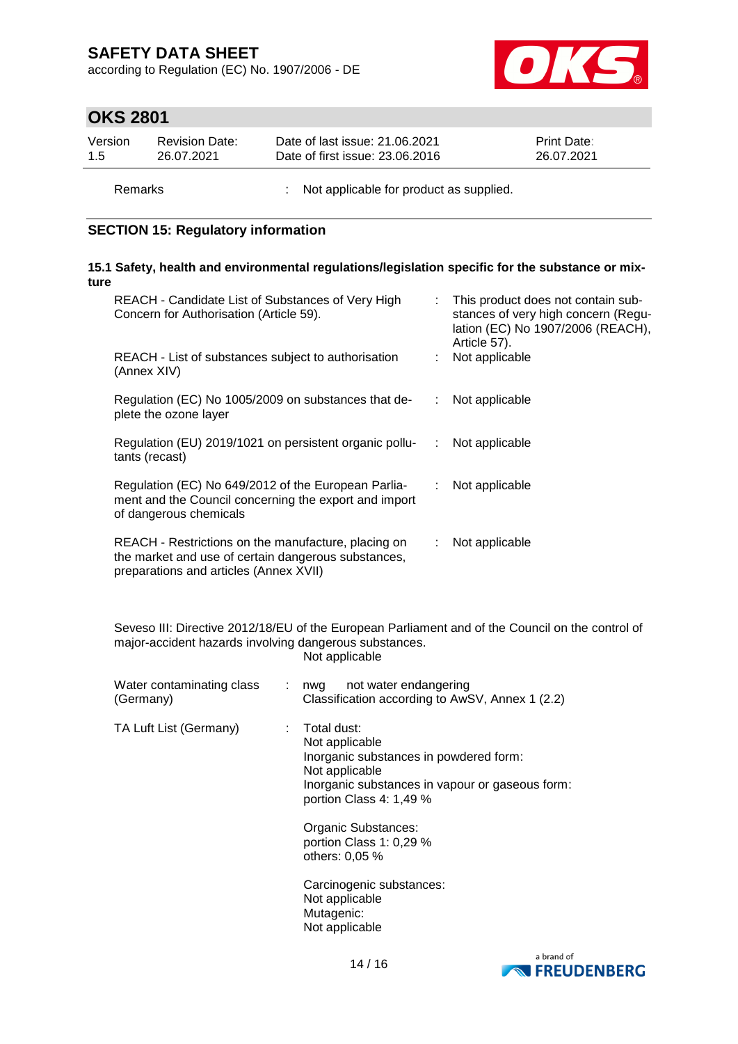according to Regulation (EC) No. 1907/2006 - DE



## **OKS 2801**

| Version | <b>Revision Date:</b> | Date of last issue: 21.06.2021  | <b>Print Date:</b> |
|---------|-----------------------|---------------------------------|--------------------|
| 1.5     | 26.07.2021            | Date of first issue: 23.06.2016 | 26.07.2021         |
|         |                       |                                 |                    |

Remarks : Not applicable for product as supplied.

### **SECTION 15: Regulatory information**

#### **15.1 Safety, health and environmental regulations/legislation specific for the substance or mixture**

| REACH - Candidate List of Substances of Very High<br>Concern for Authorisation (Article 59).                                                         |    | : This product does not contain sub-<br>stances of very high concern (Regu-<br>lation (EC) No 1907/2006 (REACH),<br>Article 57). |
|------------------------------------------------------------------------------------------------------------------------------------------------------|----|----------------------------------------------------------------------------------------------------------------------------------|
| REACH - List of substances subject to authorisation<br>(Annex XIV)                                                                                   |    | Not applicable                                                                                                                   |
| Regulation (EC) No 1005/2009 on substances that de-<br>plete the ozone layer                                                                         | ÷  | Not applicable                                                                                                                   |
| Regulation (EU) 2019/1021 on persistent organic pollu-<br>tants (recast)                                                                             | ÷. | Not applicable                                                                                                                   |
| Regulation (EC) No 649/2012 of the European Parlia-<br>ment and the Council concerning the export and import<br>of dangerous chemicals               | ÷. | Not applicable                                                                                                                   |
| REACH - Restrictions on the manufacture, placing on<br>the market and use of certain dangerous substances,<br>preparations and articles (Annex XVII) | ÷. | Not applicable                                                                                                                   |

Seveso III: Directive 2012/18/EU of the European Parliament and of the Council on the control of major-accident hazards involving dangerous substances. Not applicable

| Water contaminating class<br>(Germany) | not water endangering<br>: nwg<br>Classification according to AwSV, Annex 1 (2.2)                                                                                                                                                                                       |
|----------------------------------------|-------------------------------------------------------------------------------------------------------------------------------------------------------------------------------------------------------------------------------------------------------------------------|
| TA Luft List (Germany)                 | Total dust:<br>Not applicable<br>Inorganic substances in powdered form:<br>Not applicable<br>Inorganic substances in vapour or gaseous form:<br>portion Class 4: 1,49 %<br>Organic Substances:<br>portion Class 1: 0,29 %<br>others: 0,05 %<br>Carcinogenic substances: |
|                                        | Not applicable<br>Mutagenic:<br>Not applicable                                                                                                                                                                                                                          |

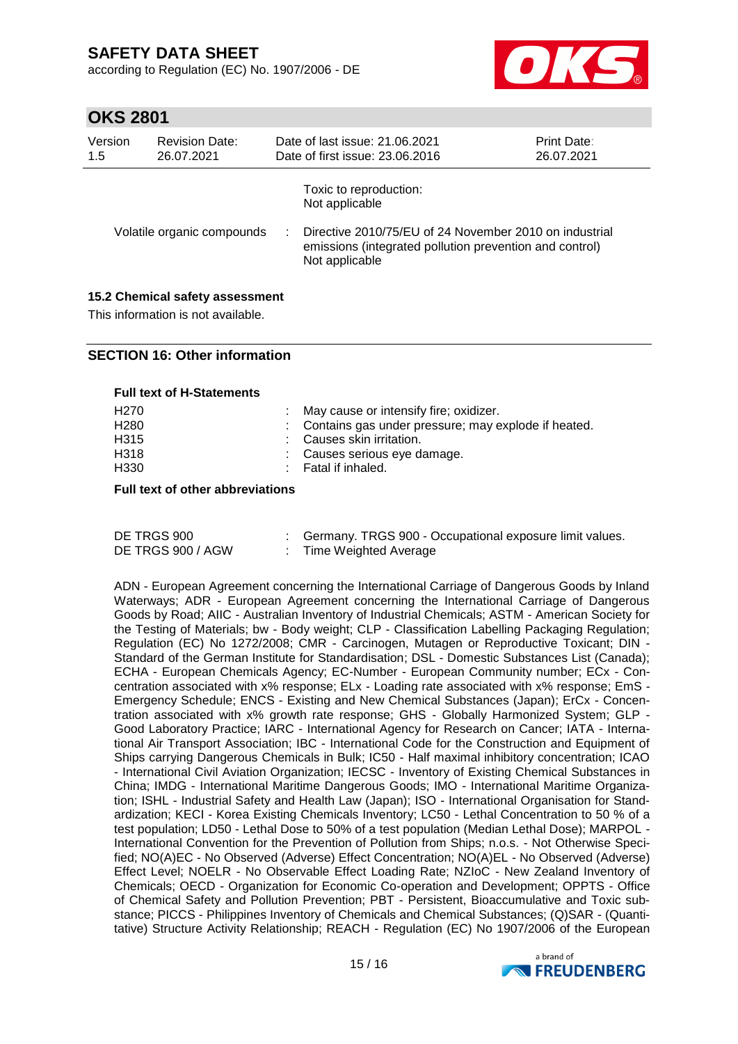according to Regulation (EC) No. 1907/2006 - DE



## **OKS 2801**

| Version<br>1.5 | <b>Revision Date:</b><br>26.07.2021 | Date of last issue: 21.06.2021<br>Date of first issue: 23.06.2016                                                                   | <b>Print Date:</b><br>26.07.2021 |
|----------------|-------------------------------------|-------------------------------------------------------------------------------------------------------------------------------------|----------------------------------|
|                |                                     | Toxic to reproduction:<br>Not applicable                                                                                            |                                  |
|                | Volatile organic compounds          | Directive 2010/75/EU of 24 November 2010 on industrial<br>emissions (integrated pollution prevention and control)<br>Not applicable |                                  |

### **15.2 Chemical safety assessment**

This information is not available.

### **SECTION 16: Other information**

#### **Full text of H-Statements**

| H270 | : May cause or intensify fire; oxidizer.              |
|------|-------------------------------------------------------|
| H280 | : Contains gas under pressure; may explode if heated. |
| H315 | : Causes skin irritation.                             |
| H318 | : Causes serious eye damage.                          |
| H330 | : Fatal if inhaled.                                   |
|      |                                                       |

#### **Full text of other abbreviations**

| DE TRGS 900       | Germany. TRGS 900 - Occupational exposure limit values. |
|-------------------|---------------------------------------------------------|
| DE TRGS 900 / AGW | Time Weighted Average                                   |

ADN - European Agreement concerning the International Carriage of Dangerous Goods by Inland Waterways; ADR - European Agreement concerning the International Carriage of Dangerous Goods by Road; AIIC - Australian Inventory of Industrial Chemicals; ASTM - American Society for the Testing of Materials; bw - Body weight; CLP - Classification Labelling Packaging Regulation; Regulation (EC) No 1272/2008; CMR - Carcinogen, Mutagen or Reproductive Toxicant; DIN - Standard of the German Institute for Standardisation; DSL - Domestic Substances List (Canada); ECHA - European Chemicals Agency; EC-Number - European Community number; ECx - Concentration associated with x% response; ELx - Loading rate associated with x% response; EmS - Emergency Schedule; ENCS - Existing and New Chemical Substances (Japan); ErCx - Concentration associated with x% growth rate response; GHS - Globally Harmonized System; GLP - Good Laboratory Practice; IARC - International Agency for Research on Cancer; IATA - International Air Transport Association; IBC - International Code for the Construction and Equipment of Ships carrying Dangerous Chemicals in Bulk; IC50 - Half maximal inhibitory concentration; ICAO - International Civil Aviation Organization; IECSC - Inventory of Existing Chemical Substances in China; IMDG - International Maritime Dangerous Goods; IMO - International Maritime Organization; ISHL - Industrial Safety and Health Law (Japan); ISO - International Organisation for Standardization; KECI - Korea Existing Chemicals Inventory; LC50 - Lethal Concentration to 50 % of a test population; LD50 - Lethal Dose to 50% of a test population (Median Lethal Dose); MARPOL - International Convention for the Prevention of Pollution from Ships; n.o.s. - Not Otherwise Specified; NO(A)EC - No Observed (Adverse) Effect Concentration; NO(A)EL - No Observed (Adverse) Effect Level; NOELR - No Observable Effect Loading Rate; NZIoC - New Zealand Inventory of Chemicals; OECD - Organization for Economic Co-operation and Development; OPPTS - Office of Chemical Safety and Pollution Prevention; PBT - Persistent, Bioaccumulative and Toxic substance; PICCS - Philippines Inventory of Chemicals and Chemical Substances; (Q)SAR - (Quantitative) Structure Activity Relationship; REACH - Regulation (EC) No 1907/2006 of the European